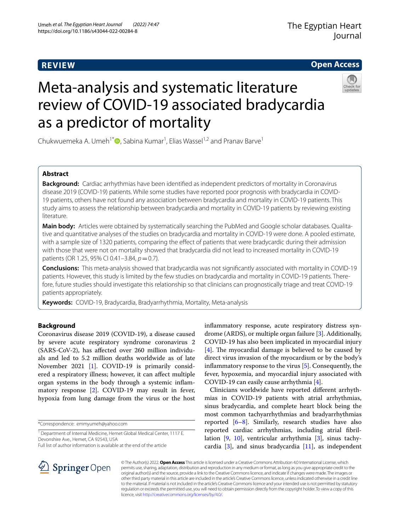# **REVIEW**

**Open Access**

# Meta-analysis and systematic literature review of COVID-19 associated bradycardia as a predictor of mortality



Chukwuemeka A. Umeh<sup>1[\\*](http://orcid.org/0000-0001-6574-8595)</sup><sup>O</sup>, Sabina Kumar<sup>1</sup>, Elias Wassel<sup>1,2</sup> and Pranav Barve<sup>1</sup>

# **Abstract**

**Background:** Cardiac arrhythmias have been identifed as independent predictors of mortality in Coronavirus disease 2019 (COVID-19) patients. While some studies have reported poor prognosis with bradycardia in COVID-19 patients, others have not found any association between bradycardia and mortality in COVID-19 patients. This study aims to assess the relationship between bradycardia and mortality in COVID-19 patients by reviewing existing literature.

**Main body:** Articles were obtained by systematically searching the PubMed and Google scholar databases. Qualitative and quantitative analyses of the studies on bradycardia and mortality in COVID-19 were done. A pooled estimate, with a sample size of 1320 patients, comparing the efect of patients that were bradycardic during their admission with those that were not on mortality showed that bradycardia did not lead to increased mortality in COVID-19 patients (OR 1.25, 95% CI 0.41-3.84,  $p = 0.7$ ).

**Conclusions:** This meta-analysis showed that bradycardia was not signifcantly associated with mortality in COVID-19 patients. However, this study is limited by the few studies on bradycardia and mortality in COVID-19 patients. Therefore, future studies should investigate this relationship so that clinicians can prognostically triage and treat COVID-19 patients appropriately.

**Keywords:** COVID-19, Bradycardia, Bradyarrhythmia, Mortality, Meta-analysis

# **Background**

Coronavirus disease 2019 (COVID-19), a disease caused by severe acute respiratory syndrome coronavirus 2 (SARS-CoV-2), has afected over 260 million individuals and led to 5.2 million deaths worldwide as of late November 2021 [\[1](#page-6-0)]. COVID-19 is primarily considered a respiratory illness; however, it can afect multiple organ systems in the body through a systemic infammatory response [[2\]](#page-6-1). COVID-19 may result in fever, hypoxia from lung damage from the virus or the host

\*Correspondence: emmyumeh@yahoo.com

Full list of author information is available at the end of the article

infammatory response, acute respiratory distress syndrome (ARDS), or multiple organ failure [[3\]](#page-6-2). Additionally, COVID-19 has also been implicated in myocardial injury  $[4]$  $[4]$ . The myocardial damage is believed to be caused by direct virus invasion of the myocardium or by the body's infammatory response to the virus [[5\]](#page-6-4). Consequently, the fever, hypoxemia, and myocardial injury associated with COVID-19 can easily cause arrhythmia [\[4](#page-6-3)].

Clinicians worldwide have reported diferent arrhythmias in COVID-19 patients with atrial arrhythmias, sinus bradycardia, and complete heart block being the most common tachyarrhythmias and bradyarrhythmias reported  $[6-8]$  $[6-8]$ . Similarly, research studies have also reported cardiac arrhythmias, including atrial fbrillation [\[9](#page-6-7), [10](#page-6-8)], ventricular arrhythmia [[3\]](#page-6-2), sinus tachycardia [[3\]](#page-6-2), and sinus bradycardia [\[11\]](#page-7-0), as independent



© The Author(s) 2022. **Open Access** This article is licensed under a Creative Commons Attribution 4.0 International License, which permits use, sharing, adaptation, distribution and reproduction in any medium or format, as long as you give appropriate credit to the original author(s) and the source, provide a link to the Creative Commons licence, and indicate if changes were made. The images or other third party material in this article are included in the article's Creative Commons licence, unless indicated otherwise in a credit line to the material. If material is not included in the article's Creative Commons licence and your intended use is not permitted by statutory regulation or exceeds the permitted use, you will need to obtain permission directly from the copyright holder. To view a copy of this licence, visit [http://creativecommons.org/licenses/by/4.0/.](http://creativecommons.org/licenses/by/4.0/)

<sup>&</sup>lt;sup>1</sup> Department of Internal Medicine, Hemet Global Medical Center, 1117 E. Devonshire Ave., Hemet, CA 92543, USA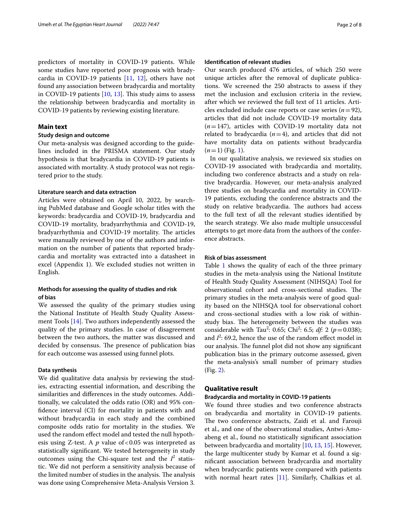predictors of mortality in COVID-19 patients. While some studies have reported poor prognosis with bradycardia in COVID-19 patients [[11,](#page-7-0) [12](#page-7-1)], others have not found any association between bradycardia and mortality in COVID-19 patients [[10](#page-6-8), [13](#page-7-2)]. This study aims to assess the relationship between bradycardia and mortality in COVID-19 patients by reviewing existing literature.

## **Main text**

## **Study design and outcome**

Our meta-analysis was designed according to the guidelines included in the PRISMA statement. Our study hypothesis is that bradycardia in COVID-19 patients is associated with mortality. A study protocol was not registered prior to the study.

#### **Literature search and data extraction**

Articles were obtained on April 10, 2022, by searching PubMed database and Google scholar titles with the keywords: bradycardia and COVID-19, bradycardia and COVID-19 mortality, bradyarrhythmia and COVID-19, bradyarrhythmia and COVID-19 mortality. The articles were manually reviewed by one of the authors and information on the number of patients that reported bradycardia and mortality was extracted into a datasheet in excel (Appendix 1). We excluded studies not written in English.

# **Methods for assessing the quality of studies and risk of bias**

We assessed the quality of the primary studies using the National Institute of Health Study Quality Assessment Tools [\[14](#page-7-3)]. Two authors independently assessed the quality of the primary studies. In case of disagreement between the two authors, the matter was discussed and decided by consensus. The presence of publication bias for each outcome was assessed using funnel plots.

## **Data synthesis**

We did qualitative data analysis by reviewing the studies, extracting essential information, and describing the similarities and diferences in the study outcomes. Additionally, we calculated the odds ratio (OR) and 95% confdence interval (CI) for mortality in patients with and without bradycardia in each study and the combined composite odds ratio for mortality in the studies. We used the random efect model and tested the null hypothesis using Z-test. A *p* value of <0.05 was interpreted as statistically signifcant. We tested heterogeneity in study outcomes using the Chi-square test and the  $I^2$  statistic. We did not perform a sensitivity analysis because of the limited number of studies in the analysis. The analysis was done using Comprehensive Meta-Analysis Version 3.

# **Identifcation of relevant studies**

Our search produced 476 articles, of which 250 were unique articles after the removal of duplicate publications. We screened the 250 abstracts to assess if they met the inclusion and exclusion criteria in the review, after which we reviewed the full text of 11 articles. Articles excluded include case reports or case series  $(n=92)$ , articles that did not include COVID-19 mortality data  $(n=147)$ , articles with COVID-19 mortality data not related to bradycardia  $(n=4)$ , and articles that did not have mortality data on patients without bradycardia  $(n=1)$  (Fig. [1](#page-2-0)).

In our qualitative analysis, we reviewed six studies on COVID-19 associated with bradycardia and mortality, including two conference abstracts and a study on relative bradycardia. However, our meta-analysis analyzed three studies on bradycardia and mortality in COVID-19 patients, excluding the conference abstracts and the study on relative bradycardia. The authors had access to the full text of all the relevant studies identifed by the search strategy. We also made multiple unsuccessful attempts to get more data from the authors of the conference abstracts.

### **Risk of bias assessment**

Table [1](#page-3-0) shows the quality of each of the three primary studies in the meta-analysis using the National Institute of Health Study Quality Assessment (NIHSQA) Tool for observational cohort and cross-sectional studies. The primary studies in the meta-analysis were of good quality based on the NIHSQA tool for observational cohort and cross-sectional studies with a low risk of withinstudy bias. The heterogeneity between the studies was considerable with Tau<sup>2</sup>: 0.65; Chi<sup>2</sup>: 6.5; *df*: 2 ( $p = 0.038$ ); and  $I^2$ : 69.2, hence the use of the random effect model in our analysis. The funnel plot did not show any significant publication bias in the primary outcome assessed, given the meta-analysis's small number of primary studies (Fig. [2\)](#page-3-1).

### **Qualitative result**

## **Bradycardia and mortality in COVID‑19 patients**

We found three studies and two conference abstracts on bradycardia and mortality in COVID-19 patients. The two conference abstracts, Zaidi et al. and Farouji et al., and one of the observational studies, Antwi-Amoabeng et al., found no statistically signifcant association between bradycardia and mortality [\[10](#page-6-8), [13,](#page-7-2) [15](#page-7-4)]. However, the large multicenter study by Kumar et al. found a signifcant association between bradycardia and mortality when bradycardic patients were compared with patients with normal heart rates [\[11\]](#page-7-0). Similarly, Chalkias et al.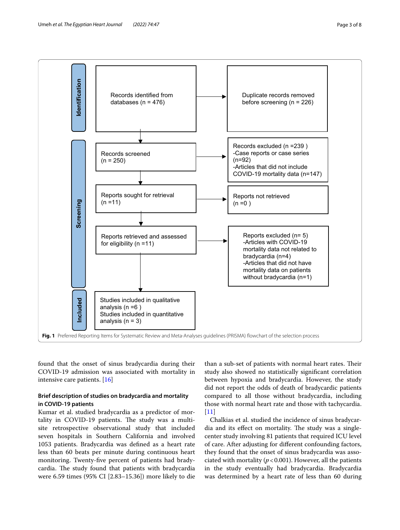



<span id="page-2-0"></span>found that the onset of sinus bradycardia during their COVID-19 admission was associated with mortality in intensive care patients. [\[16](#page-7-5)]

# **Brief description of studies on bradycardia and mortality in COVID‑19 patients**

Kumar et al. studied bradycardia as a predictor of mortality in COVID-19 patients. The study was a multisite retrospective observational study that included seven hospitals in Southern California and involved 1053 patients. Bradycardia was defned as a heart rate less than 60 beats per minute during continuous heart monitoring. Twenty-fve percent of patients had bradycardia. The study found that patients with bradycardia were 6.59 times (95% CI [2.83–15.36]) more likely to die

than a sub-set of patients with normal heart rates. Their study also showed no statistically signifcant correlation between hypoxia and bradycardia. However, the study did not report the odds of death of bradycardic patients compared to all those without bradycardia, including those with normal heart rate and those with tachycardia.  $[11]$  $[11]$ 

Chalkias et al. studied the incidence of sinus bradycardia and its effect on mortality. The study was a singlecenter study involving 81 patients that required ICU level of care. After adjusting for diferent confounding factors, they found that the onset of sinus bradycardia was associated with mortality  $(p < 0.001)$ . However, all the patients in the study eventually had bradycardia. Bradycardia was determined by a heart rate of less than 60 during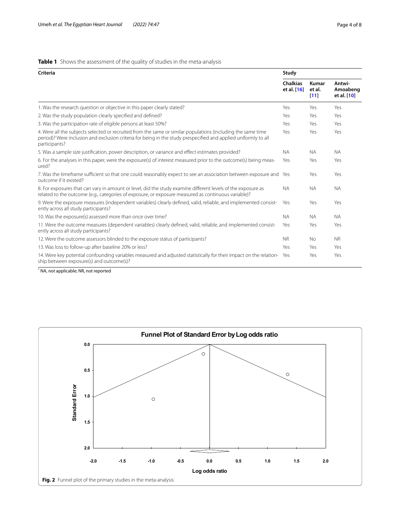# <span id="page-3-0"></span>**Table 1** Shows the assessment of the quality of studies in the meta-analysis

| <b>Criteria</b>                                                                                                                                                                                                                                  |                                | Study                   |                                   |  |
|--------------------------------------------------------------------------------------------------------------------------------------------------------------------------------------------------------------------------------------------------|--------------------------------|-------------------------|-----------------------------------|--|
|                                                                                                                                                                                                                                                  | <b>Chalkias</b><br>et al. [16] | Kumar<br>et al.<br>[11] | Antwi-<br>Amoabeng<br>et al. [10] |  |
| 1. Was the research question or objective in this paper clearly stated?                                                                                                                                                                          | Yes                            | Yes                     | Yes                               |  |
| 2. Was the study population clearly specified and defined?                                                                                                                                                                                       | Yes                            | Yes                     | Yes                               |  |
| 3. Was the participation rate of eligible persons at least 50%?                                                                                                                                                                                  | Yes                            | Yes                     | Yes                               |  |
| 4. Were all the subjects selected or recruited from the same or similar populations (including the same time<br>period)? Were inclusion and exclusion criteria for being in the study prespecified and applied uniformly to all<br>participants? | Yes                            | Yes                     | Yes                               |  |
| 5. Was a sample size justification, power description, or variance and effect estimates provided?                                                                                                                                                | <b>NA</b>                      | <b>NA</b>               | <b>NA</b>                         |  |
| 6. For the analyses in this paper, were the exposure(s) of interest measured prior to the outcome(s) being meas-<br>ured?                                                                                                                        |                                | Yes                     | Yes                               |  |
| 7. Was the timeframe sufficient so that one could reasonably expect to see an association between exposure and<br>outcome if it existed?                                                                                                         | Yes                            | Yes                     | Yes                               |  |
| 8. For exposures that can vary in amount or level, did the study examine different levels of the exposure as<br>related to the outcome (e.g., categories of exposure, or exposure measured as continuous variable)?                              | <b>NA</b>                      | <b>NA</b>               | <b>NA</b>                         |  |
| 9. Were the exposure measures (independent variables) clearly defined, valid, reliable, and implemented consist-<br>ently across all study participants?                                                                                         | Yes                            | Yes                     | Yes                               |  |
| 10. Was the exposure(s) assessed more than once over time?                                                                                                                                                                                       | <b>NA</b>                      | <b>NA</b>               | <b>NA</b>                         |  |
| 11. Were the outcome measures (dependent variables) clearly defined, valid, reliable, and implemented consist-<br>ently across all study participants?                                                                                           | Yes                            | Yes                     | Yes                               |  |
| 12. Were the outcome assessors blinded to the exposure status of participants?                                                                                                                                                                   | <b>NR</b>                      | <b>No</b>               | <b>NR</b>                         |  |
| 13. Was loss to follow-up after baseline 20% or less?                                                                                                                                                                                            | Yes                            | Yes                     | Yes                               |  |
| 14. Were key potential confounding variables measured and adjusted statistically for their impact on the relation-<br>ship between exposure(s) and outcome(s)?                                                                                   | Yes                            | Yes                     | Yes                               |  |

\* NA, not applicable; NR, not reported

<span id="page-3-1"></span>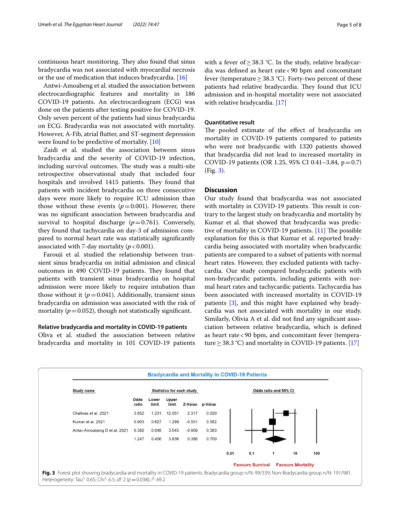continuous heart monitoring. They also found that sinus bradycardia was not associated with myocardial necrosis or the use of medication that induces bradycardia. [\[16](#page-7-5)]

Antwi-Amoabeng et al. studied the association between electrocardiographic features and mortality in 186 COVID-19 patients. An electrocardiogram (ECG) was done on the patients after testing positive for COVID-19. Only seven percent of the patients had sinus bradycardia on ECG. Bradycardia was not associated with mortality. However, A-Fib, atrial futter, and ST-segment depression were found to be predictive of mortality. [\[10](#page-6-8)]

Zaidi et al. studied the association between sinus bradycardia and the severity of COVID-19 infection, including survival outcomes. The study was a multi-site retrospective observational study that included four hospitals and involved 1415 patients. They found that patients with incident bradycardia on three consecutive days were more likely to require ICU admission than those without these events  $(p=0.001)$ . However, there was no signifcant association between bradycardia and survival to hospital discharge  $(p=0.761)$ . Conversely, they found that tachycardia on day-3 of admission compared to normal heart rate was statistically signifcantly associated with 7-day mortality  $(p < 0.001)$ .

Farouji et al. studied the relationship between transient sinus bradycardia on initial admission and clinical outcomes in 490 COVID-19 patients. They found that patients with transient sinus bradycardia on hospital admission were more likely to require intubation than those without it  $(p=0.041)$ . Additionally, transient sinus bradycardia on admission was associated with the risk of mortality ( $p = 0.052$ ), though not statistically significant.

#### **Relative bradycardia and mortality in COVID‑19 patients**

Oliva et al. studied the association between relative bradycardia and mortality in 101 COVID-19 patients with a fever of ≥ 38.3 °C. In the study, relative bradycardia was defned as heart rate<90 bpm and concomitant fever (temperature  $\geq$  38.3 °C). Forty-two percent of these patients had relative bradycardia. They found that ICU admission and in-hospital mortality were not associated with relative bradycardia. [[17\]](#page-7-6)

## **Quantitative result**

The pooled estimate of the effect of bradycardia on mortality in COVID-19 patients compared to patients who were not bradycardic with 1320 patients showed that bradycardia did not lead to increased mortality in COVID-19 patients (OR 1.25, 95% CI 0.41–3.84,  $p=0.7$ ) (Fig. [3\)](#page-4-0).

# **Discussion**

Our study found that bradycardia was not associated with mortality in COVID-19 patients. This result is contrary to the largest study on bradycardia and mortality by Kumar et al. that showed that bradycardia was predictive of mortality in COVID-19 patients.  $[11]$  $[11]$  The possible explanation for this is that Kumar et al. reported bradycardia being associated with mortality when bradycardic patients are compared to a subset of patients with normal heart rates. However, they excluded patients with tachycardia. Our study compared bradycardic patients with non-bradycardic patients, including patients with normal heart rates and tachycardic patients. Tachycardia has been associated with increased mortality in COVID-19 patients [\[3](#page-6-2)], and this might have explained why bradycardia was not associated with mortality in our study. Similarly, Olivia A et al. did not fnd any signifcant association between relative bradycardia, which is defned as heart rate<90 bpm, and concomitant fever (temperature  $\geq$  38.3 °C) and mortality in COVID-19 patients. [\[17\]](#page-7-6)

<span id="page-4-0"></span>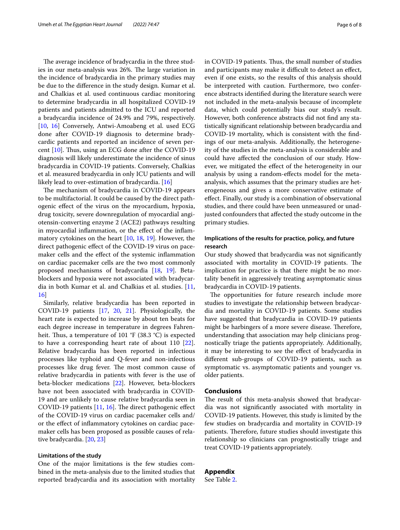The average incidence of bradycardia in the three studies in our meta-analysis was 26%. The large variation in the incidence of bradycardia in the primary studies may be due to the diference in the study design. Kumar et al. and Chalkias et al. used continuous cardiac monitoring to determine bradycardia in all hospitalized COVID-19 patients and patients admitted to the ICU and reported a bradycardia incidence of 24.9% and 79%, respectively. [[10,](#page-6-8) [16\]](#page-7-5) Conversely, Antwi-Amoabeng et al. used ECG done after COVID-19 diagnosis to determine bradycardic patients and reported an incidence of seven percent  $[10]$  $[10]$ . Thus, using an ECG done after the COVID-19 diagnosis will likely underestimate the incidence of sinus bradycardia in COVID-19 patients. Conversely, Chalkias et al. measured bradycardia in only ICU patients and will likely lead to over-estimation of bradycardia. [[16](#page-7-5)]

The mechanism of bradycardia in COVID-19 appears to be multifactorial. It could be caused by the direct pathogenic efect of the virus on the myocardium, hypoxia, drug toxicity, severe downregulation of myocardial angiotensin-converting enzyme 2 (ACE2) pathways resulting in myocardial infammation, or the efect of the infammatory cytokines on the heart [\[10,](#page-6-8) [18,](#page-7-7) [19\]](#page-7-8). However, the direct pathogenic efect of the COVID-19 virus on pacemaker cells and the efect of the systemic infammation on cardiac pacemaker cells are the two most commonly proposed mechanisms of bradycardia [\[18](#page-7-7), [19](#page-7-8)]. Betablockers and hypoxia were not associated with bradycardia in both Kumar et al. and Chalkias et al. studies. [\[11](#page-7-0), [16\]](#page-7-5)

Similarly, relative bradycardia has been reported in COVID-19 patients [\[17](#page-7-6), [20,](#page-7-9) [21](#page-7-10)]. Physiologically, the heart rate is expected to increase by about ten beats for each degree increase in temperature in degrees Fahrenheit. Thus, a temperature of 101  $\degree$ F (38.3  $\degree$ C) is expected to have a corresponding heart rate of about 110 [\[22](#page-7-11)]. Relative bradycardia has been reported in infectious processes like typhoid and Q-fever and non-infectious processes like drug fever. The most common cause of relative bradycardia in patients with fever is the use of beta-blocker medications [\[22](#page-7-11)]. However, beta-blockers have not been associated with bradycardia in COVID-19 and are unlikely to cause relative bradycardia seen in COVID-19 patients  $[11, 16]$  $[11, 16]$  $[11, 16]$ . The direct pathogenic effect of the COVID-19 virus on cardiac pacemaker cells and/ or the efect of infammatory cytokines on cardiac pacemaker cells has been proposed as possible causes of relative bradycardia. [\[20,](#page-7-9) [23](#page-7-12)]

#### **Limitations of the study**

One of the major limitations is the few studies combined in the meta-analysis due to the limited studies that reported bradycardia and its association with mortality in COVID-19 patients. Thus, the small number of studies and participants may make it difficult to detect an effect, even if one exists, so the results of this analysis should be interpreted with caution. Furthermore, two conference abstracts identifed during the literature search were not included in the meta-analysis because of incomplete data, which could potentially bias our study's result. However, both conference abstracts did not fnd any statistically signifcant relationship between bradycardia and COVID-19 mortality, which is consistent with the fndings of our meta-analysis. Additionally, the heterogeneity of the studies in the meta-analysis is considerable and could have afected the conclusion of our study. However, we mitigated the effect of the heterogeneity in our analysis by using a random-efects model for the metaanalysis, which assumes that the primary studies are heterogeneous and gives a more conservative estimate of efect. Finally, our study is a combination of observational studies, and there could have been unmeasured or unadjusted confounders that afected the study outcome in the primary studies.

# **Implications of the results for practice, policy, and future research**

Our study showed that bradycardia was not signifcantly associated with mortality in COVID-19 patients. The implication for practice is that there might be no mortality beneft in aggressively treating asymptomatic sinus bradycardia in COVID-19 patients.

The opportunities for future research include more studies to investigate the relationship between bradycardia and mortality in COVID-19 patients. Some studies have suggested that bradycardia in COVID-19 patients might be harbingers of a more severe disease. Therefore, understanding that association may help clinicians prognostically triage the patients appropriately. Additionally, it may be interesting to see the efect of bradycardia in diferent sub-groups of COVID-19 patients, such as symptomatic vs. asymptomatic patients and younger vs. older patients.

# **Conclusions**

The result of this meta-analysis showed that bradycardia was not signifcantly associated with mortality in COVID-19 patients. However, this study is limited by the few studies on bradycardia and mortality in COVID-19 patients. Therefore, future studies should investigate this relationship so clinicians can prognostically triage and treat COVID-19 patients appropriately.

# **Appendix**

See Table [2.](#page-6-9)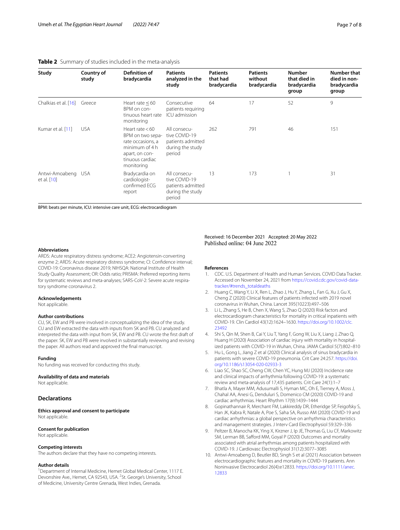## <span id="page-6-9"></span>**Table 2** Summary of studies included in the meta-analysis

| Study                             | Country of<br>study | <b>Definition of</b><br>bradycardia                                                                                             | <b>Patients</b><br>analyzed in the<br>study                                      | <b>Patients</b><br>that had<br>bradycardia | <b>Patients</b><br>without<br>bradycardia | <b>Number</b><br>that died in<br>bradycardia<br>group | Number that<br>died in non-<br>bradycardia<br>group |
|-----------------------------------|---------------------|---------------------------------------------------------------------------------------------------------------------------------|----------------------------------------------------------------------------------|--------------------------------------------|-------------------------------------------|-------------------------------------------------------|-----------------------------------------------------|
| Chalkias et al. [16] Greece       |                     | Heart rate $< 60$<br>BPM on con-<br>tinuous heart rate<br>monitoring                                                            | Consecutive<br>patients requiring<br>ICU admission                               | 64                                         | 17                                        | 52                                                    | 9                                                   |
| Kumar et al. [11]                 | <b>USA</b>          | Heart rate $< 60$<br>BPM on two sepa-<br>rate occasions, a<br>minimum of 4 h<br>apart, on con-<br>tinuous cardiac<br>monitoring | All consecu-<br>tive COVID-19<br>patients admitted<br>during the study<br>period | 262                                        | 791                                       | 46                                                    | 151                                                 |
| Antwi-Amoabeng USA<br>et al. [10] |                     | Bradycardia on<br>cardiologist-<br>confirmed ECG<br>report                                                                      | All consecu-<br>tive COVID-19<br>patients admitted<br>during the study<br>period | 13                                         | 173                                       |                                                       | 31                                                  |

BPM: beats per minute, ICU: intensive care unit, ECG: electrocardiogram

#### **Abbreviations**

ARDS: Acute respiratory distress syndrome; ACE2: Angiotensin-converting enzyme 2; ARDS: Acute respiratory distress syndrome; CI: Confdence interval; COVID-19: Coronavirus disease 2019; NIHSQA: National Institute of Health Study Quality Assessment; OR: Odds ratio; PRISMA: Preferred reporting items for systematic reviews and meta-analyses; SARS-CoV-2: Severe acute respiratory syndrome coronavirus 2.

#### **Acknowledgements**

Not applicable.

#### **Author contributions**

CU, SK, EW and PB were involved in conceptualizing the idea of the study. CU and EW extracted the data with inputs from SK and PB. CU analyzed and interpreted the data with input from SK, EW and PB. CU wrote the frst draft of the paper. SK, EW and PB were involved in substantially reviewing and revising the paper. All authors read and approved the fnal manuscript.

#### **Funding**

No funding was received for conducting this study.

#### **Availability of data and materials**

Not applicable.

# **Declarations**

**Ethics approval and consent to participate** Not applicable.

#### **Consent for publication**

Not applicable.

#### **Competing interests**

The authors declare that they have no competing interests.

### **Author details**

<sup>1</sup> Department of Internal Medicine, Hemet Global Medical Center, 1117 E. Devonshire Ave., Hemet, CA 92543, USA. <sup>2</sup>St. George's University, School of Medicine, University Centre Grenada, West Indies, Grenada.

Received: 16 December 2021 Accepted: 20 May 2022 Published online: 04 June 2022

#### **References**

- <span id="page-6-0"></span>1. CDC. U.S. Department of Health and Human Services. COVID Data Tracker. Accessed on November 24, 2021 from [https://covid.cdc.gov/covid-data](https://covid.cdc.gov/covid-data-tracker/#trends_totaldeaths)[tracker/#trends\\_totaldeaths](https://covid.cdc.gov/covid-data-tracker/#trends_totaldeaths)
- <span id="page-6-1"></span>2. Huang C, Wang Y, Li X, Ren L, Zhao J, Hu Y, Zhang L, Fan G, Xu J, Gu X, Cheng Z (2020) Clinical features of patients infected with 2019 novel coronavirus in Wuhan, China. Lancet 395(10223):497–506
- <span id="page-6-2"></span>3. Li L, Zhang S, He B, Chen X, Wang S, Zhao Q (2020) Risk factors and electrocardiogram characteristics for mortality in critical inpatients with COVID-19. Clin Cardiol 43(12):1624–1630. [https://doi.org/10.1002/clc.](https://doi.org/10.1002/clc.23492) [23492](https://doi.org/10.1002/clc.23492)
- <span id="page-6-3"></span>4. Shi S, Qin M, Shen B, Cai Y, Liu T, Yang F, Gong W, Liu X, Liang J, Zhao Q, Huang H (2020) Association of cardiac injury with mortality in hospitalized patients with COVID-19 in Wuhan, China. JAMA Cardiol 5(7):802–810
- <span id="page-6-4"></span>5. Hu L, Gong L, Jiang Z et al (2020) Clinical analysis of sinus bradycardia in patients with severe COVID-19 pneumonia. Crit Care 24:257. [https://doi.](https://doi.org/10.1186/s13054-020-02933-3) [org/10.1186/s13054-020-02933-3](https://doi.org/10.1186/s13054-020-02933-3)
- <span id="page-6-5"></span>6. Liao SC, Shao SC, Cheng CW, Chen YC, Hung MJ (2020) Incidence rate and clinical impacts of arrhythmia following COVID-19: a systematic review and meta-analysis of 17,435 patients. Crit Care 24(1):1–7
- 7. Bhatla A, Mayer MM, Adusumalli S, Hyman MC, Oh E, Tierney A, Moss J, Chahal AA, Anesi G, Denduluri S, Domenico CM (2020) COVID-19 and cardiac arrhythmias. Heart Rhythm 17(9):1439–1444
- <span id="page-6-6"></span>8. Gopinathannair R, Merchant FM, Lakkireddy DR, Etheridge SP, Feigofsky S, Han JK, Kabra R, Natale A, Poe S, Saha SA, Russo AM (2020) COVID-19 and cardiac arrhythmias: a global perspective on arrhythmia characteristics and management strategies. J Interv Card Electrophysiol 59:329–336
- <span id="page-6-7"></span>9. Peltzer B, Manocha KK, Ying X, Kirzner J, Ip JE, Thomas G, Liu CF, Markowitz SM, Lerman BB, Safford MM, Goyal P (2020) Outcomes and mortality associated with atrial arrhythmias among patients hospitalized with COVID-19. J Cardiovasc Electrophysiol 31(12):3077–3085
- <span id="page-6-8"></span>10. Antwi-Amoabeng D, Beutler BD, Singh S et al (2021) Association between electrocardiographic features and mortality in COVID-19 patients. Ann Noninvasive Electrocardiol 26(4):e12833. [https://doi.org/10.1111/anec.](https://doi.org/10.1111/anec.12833) [12833](https://doi.org/10.1111/anec.12833)